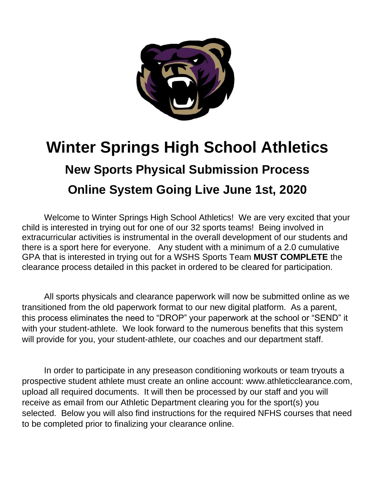

# **Winter Springs High School Athletics New Sports Physical Submission Process Online System Going Live June 1st, 2020**

Welcome to Winter Springs High School Athletics! We are very excited that your child is interested in trying out for one of our 32 sports teams! Being involved in extracurricular activities is instrumental in the overall development of our students and there is a sport here for everyone. Any student with a minimum of a 2.0 cumulative GPA that is interested in trying out for a WSHS Sports Team **MUST COMPLETE** the clearance process detailed in this packet in ordered to be cleared for participation.

All sports physicals and clearance paperwork will now be submitted online as we transitioned from the old paperwork format to our new digital platform. As a parent, this process eliminates the need to "DROP" your paperwork at the school or "SEND" it with your student-athlete. We look forward to the numerous benefits that this system will provide for you, your student-athlete, our coaches and our department staff.

In order to participate in any preseason conditioning workouts or team tryouts a prospective student athlete must create an online account: www.athleticclearance.com, upload all required documents. It will then be processed by our staff and you will receive as email from our Athletic Department clearing you for the sport(s) you selected. Below you will also find instructions for the required NFHS courses that need to be completed prior to finalizing your clearance online.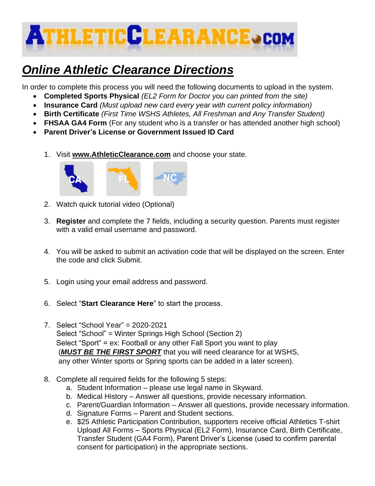

## *Online Athletic Clearance Directions*

In order to complete this process you will need the following documents to upload in the system.

- **Completed Sports Physical** *(EL2 Form for Doctor you can printed from the site)*
- **Insurance Card** *(Must upload new card every year with current policy information)*
- **Birth Certificate** *(First Time WSHS Athletes, All Freshman and Any Transfer Student)*
- **FHSAA GA4 Form** (For any student who is a transfer or has attended another high school)
- **Parent Driver's License or Government Issued ID Card**
	- 1. Visit **[www.AthleticClearance.com](http://www.athleticclearance.com/)** and choose your state.



- 2. Watch quick tutorial video (Optional)
- 3. **Register** and complete the 7 fields, including a security question. Parents must register with a valid email username and password.
- 4. You will be asked to submit an activation code that will be displayed on the screen. Enter the code and click Submit.
- 5. Login using your email address and password.
- 6. Select "**Start Clearance Here**" to start the process.
- 7. Select "School Year" = 2020-2021 Select "School" = Winter Springs High School (Section 2) Select "Sport" = ex: Football or any other Fall Sport you want to play (*MUST BE THE FIRST SPORT* that you will need clearance for at WSHS, any other Winter sports or Spring sports can be added in a later screen).
- 8. Complete all required fields for the following 5 steps:
	- a. Student Information please use legal name in Skyward.
	- b. Medical History Answer all questions, provide necessary information.
	- c. Parent/Guardian Information Answer all questions, provide necessary information.
	- d. Signature Forms Parent and Student sections.
	- e. \$25 Athletic Participation Contribution, supporters receive official Athletics T-shirt Upload All Forms – Sports Physical (EL2 Form), Insurance Card, Birth Certificate, Transfer Student (GA4 Form), Parent Driver's License (used to confirm parental consent for participation) in the appropriate sections.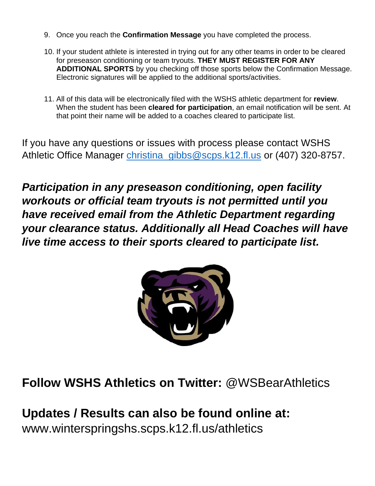- 9. Once you reach the **Confirmation Message** you have completed the process.
- 10. If your student athlete is interested in trying out for any other teams in order to be cleared for preseason conditioning or team tryouts. **THEY MUST REGISTER FOR ANY ADDITIONAL SPORTS** by you checking off those sports below the Confirmation Message. Electronic signatures will be applied to the additional sports/activities.
- 11. All of this data will be electronically filed with the WSHS athletic department for **review**. When the student has been **cleared for participation**, an email notification will be sent. At that point their name will be added to a coaches cleared to participate list.

If you have any questions or issues with process please contact WSHS Athletic Office Manager [christina\\_gibbs@scps.k12.fl.us](mailto:christina_gibbs@scps.k12.fl.us) or (407) 320-8757.

*Participation in any preseason conditioning, open facility workouts or official team tryouts is not permitted until you have received email from the Athletic Department regarding your clearance status. Additionally all Head Coaches will have live time access to their sports cleared to participate list.*



**Follow WSHS Athletics on Twitter:** @WSBearAthletics

**Updates / Results can also be found online at:**  www.winterspringshs.scps.k12.fl.us/athletics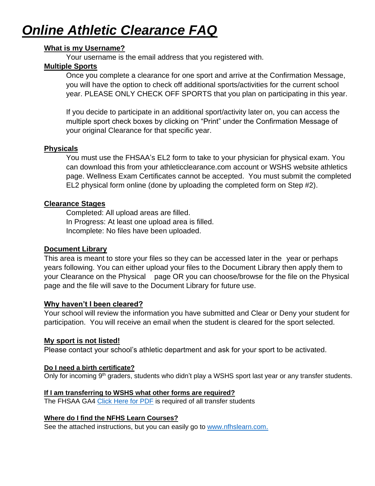## *Online Athletic Clearance FAQ*

#### **What is my Username?**

Your username is the email address that you registered with.

#### **Multiple Sports**

Once you complete a clearance for one sport and arrive at the Confirmation Message, you will have the option to check off additional sports/activities for the current school year. PLEASE ONLY CHECK OFF SPORTS that you plan on participating in this year.

If you decide to participate in an additional sport/activity later on, you can access the multiple sport check boxes by clicking on "Print" under the Confirmation Message of your original Clearance for that specific year.

#### **Physicals**

You must use the FHSAA's EL2 form to take to your physician for physical exam. You can download this from your athleticclearance.com account or WSHS website athletics page. Wellness Exam Certificates cannot be accepted. You must submit the completed EL2 physical form online (done by uploading the completed form on Step #2).

#### **Clearance Stages**

Completed: All upload areas are filled. In Progress: At least one upload area is filled. Incomplete: No files have been uploaded.

#### **Document Library**

This area is meant to store your files so they can be accessed later in the year or perhaps years following. You can either upload your files to the Document Library then apply them to your Clearance on the Physical page OR you can choose/browse for the file on the Physical page and the file will save to the Document Library for future use.

#### **Why haven't I been cleared?**

Your school will review the information you have submitted and Clear or Deny your student for participation. You will receive an email when the student is cleared for the sport selected.

#### **My sport is not listed!**

Please contact your school's athletic department and ask for your sport to be activated.

#### **Do I need a birth certificate?**

Only for incoming 9<sup>th</sup> graders, students who didn't play a WSHS sport last year or any transfer students.

#### **If I am transferring to WSHS what other forms are required?**

The FHSAA GA4 [Click Here for PDF](https://www.fhsaa.org/forms/general-forms/general-administrative/ga4) is required of all transfer students

#### **Where do I find the NFHS Learn Courses?**

See the attached instructions, but you can easily go to [www.nfhslearn.com](file:///C:/Users/Michael/Downloads/www.nfhslearn.com).